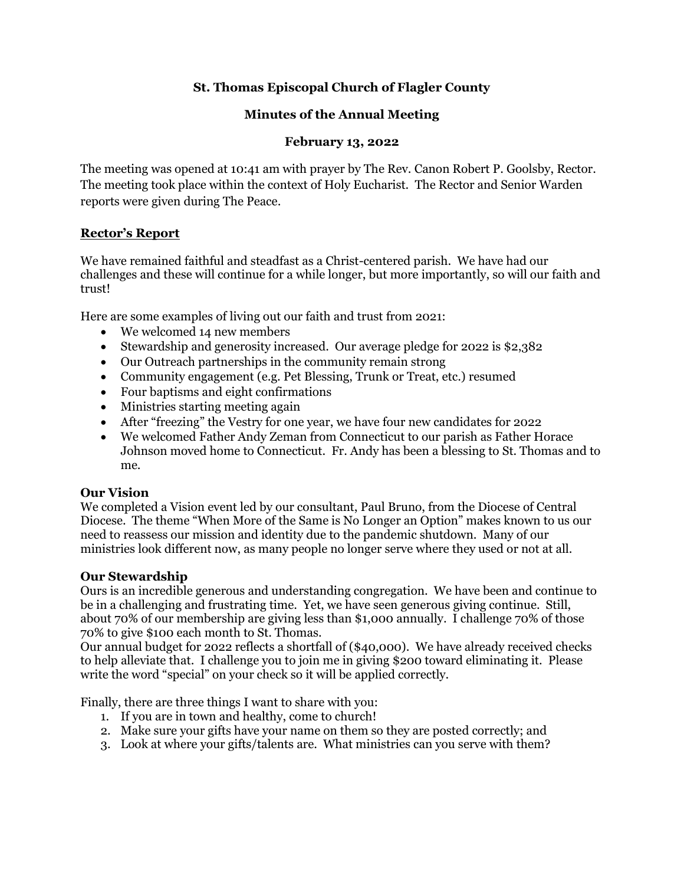# **St. Thomas Episcopal Church of Flagler County**

# **Minutes of the Annual Meeting**

### **February 13, 2022**

The meeting was opened at 10:41 am with prayer by The Rev. Canon Robert P. Goolsby, Rector. The meeting took place within the context of Holy Eucharist. The Rector and Senior Warden reports were given during The Peace.

# **Rector's Report**

We have remained faithful and steadfast as a Christ-centered parish. We have had our challenges and these will continue for a while longer, but more importantly, so will our faith and trust!

Here are some examples of living out our faith and trust from 2021:

- We welcomed 14 new members
- Stewardship and generosity increased. Our average pledge for 2022 is \$2,382
- Our Outreach partnerships in the community remain strong
- Community engagement (e.g. Pet Blessing, Trunk or Treat, etc.) resumed
- Four baptisms and eight confirmations
- Ministries starting meeting again
- After "freezing" the Vestry for one year, we have four new candidates for 2022
- We welcomed Father Andy Zeman from Connecticut to our parish as Father Horace Johnson moved home to Connecticut. Fr. Andy has been a blessing to St. Thomas and to me.

# **Our Vision**

We completed a Vision event led by our consultant, Paul Bruno, from the Diocese of Central Diocese. The theme "When More of the Same is No Longer an Option" makes known to us our need to reassess our mission and identity due to the pandemic shutdown. Many of our ministries look different now, as many people no longer serve where they used or not at all.

# **Our Stewardship**

Ours is an incredible generous and understanding congregation. We have been and continue to be in a challenging and frustrating time. Yet, we have seen generous giving continue. Still, about 70% of our membership are giving less than \$1,000 annually. I challenge 70% of those 70% to give \$100 each month to St. Thomas.

Our annual budget for 2022 reflects a shortfall of (\$40,000). We have already received checks to help alleviate that. I challenge you to join me in giving \$200 toward eliminating it. Please write the word "special" on your check so it will be applied correctly.

Finally, there are three things I want to share with you:

- 1. If you are in town and healthy, come to church!
- 2. Make sure your gifts have your name on them so they are posted correctly; and
- 3. Look at where your gifts/talents are. What ministries can you serve with them?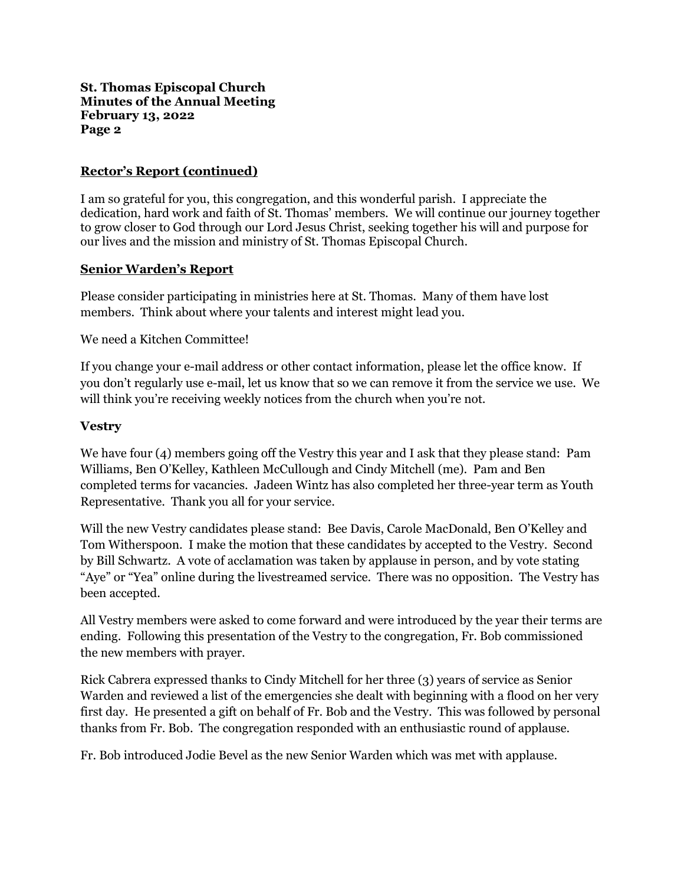### **Rector's Report (continued)**

I am so grateful for you, this congregation, and this wonderful parish. I appreciate the dedication, hard work and faith of St. Thomas' members. We will continue our journey together to grow closer to God through our Lord Jesus Christ, seeking together his will and purpose for our lives and the mission and ministry of St. Thomas Episcopal Church.

### **Senior Warden's Report**

Please consider participating in ministries here at St. Thomas. Many of them have lost members. Think about where your talents and interest might lead you.

We need a Kitchen Committee!

If you change your e-mail address or other contact information, please let the office know. If you don't regularly use e-mail, let us know that so we can remove it from the service we use. We will think you're receiving weekly notices from the church when you're not.

### **Vestry**

We have four (4) members going off the Vestry this year and I ask that they please stand: Pam Williams, Ben O'Kelley, Kathleen McCullough and Cindy Mitchell (me). Pam and Ben completed terms for vacancies. Jadeen Wintz has also completed her three-year term as Youth Representative. Thank you all for your service.

Will the new Vestry candidates please stand: Bee Davis, Carole MacDonald, Ben O'Kelley and Tom Witherspoon. I make the motion that these candidates by accepted to the Vestry. Second by Bill Schwartz. A vote of acclamation was taken by applause in person, and by vote stating "Aye" or "Yea" online during the livestreamed service. There was no opposition. The Vestry has been accepted.

All Vestry members were asked to come forward and were introduced by the year their terms are ending. Following this presentation of the Vestry to the congregation, Fr. Bob commissioned the new members with prayer.

Rick Cabrera expressed thanks to Cindy Mitchell for her three (3) years of service as Senior Warden and reviewed a list of the emergencies she dealt with beginning with a flood on her very first day. He presented a gift on behalf of Fr. Bob and the Vestry. This was followed by personal thanks from Fr. Bob. The congregation responded with an enthusiastic round of applause.

Fr. Bob introduced Jodie Bevel as the new Senior Warden which was met with applause.